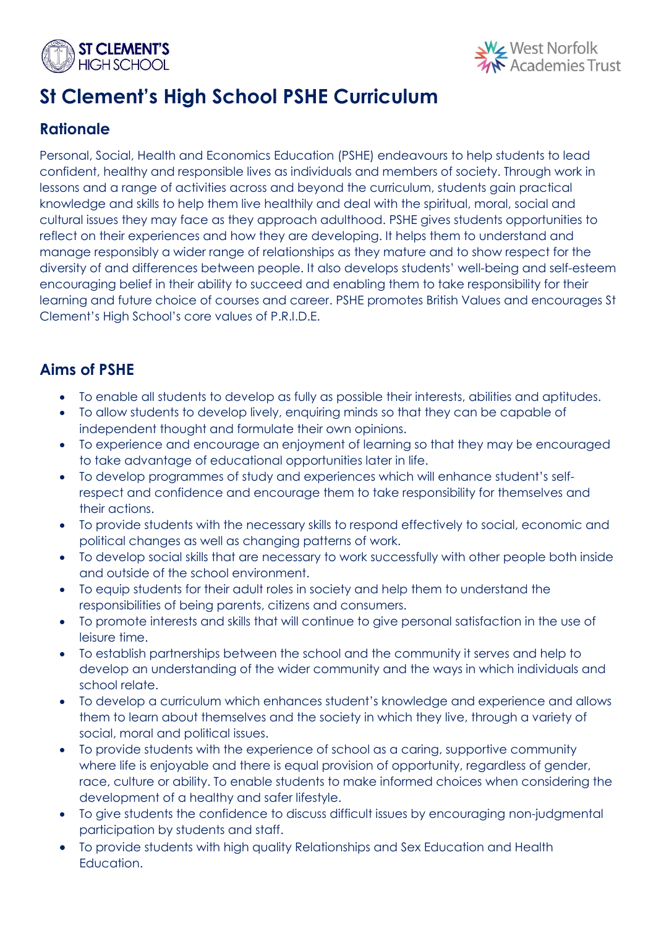



# **St Clement's High School PSHE Curriculum**

# **Rationale**

Personal, Social, Health and Economics Education (PSHE) endeavours to help students to lead confident, healthy and responsible lives as individuals and members of society. Through work in lessons and a range of activities across and beyond the curriculum, students gain practical knowledge and skills to help them live healthily and deal with the spiritual, moral, social and cultural issues they may face as they approach adulthood. PSHE gives students opportunities to reflect on their experiences and how they are developing. It helps them to understand and manage responsibly a wider range of relationships as they mature and to show respect for the diversity of and differences between people. It also develops students' well-being and self-esteem encouraging belief in their ability to succeed and enabling them to take responsibility for their learning and future choice of courses and career. PSHE promotes British Values and encourages St Clement's High School's core values of P.R.I.D.E.

# **Aims of PSHE**

- To enable all students to develop as fully as possible their interests, abilities and aptitudes.
- To allow students to develop lively, enquiring minds so that they can be capable of independent thought and formulate their own opinions.
- To experience and encourage an enjoyment of learning so that they may be encouraged to take advantage of educational opportunities later in life.
- To develop programmes of study and experiences which will enhance student's selfrespect and confidence and encourage them to take responsibility for themselves and their actions.
- To provide students with the necessary skills to respond effectively to social, economic and political changes as well as changing patterns of work.
- To develop social skills that are necessary to work successfully with other people both inside and outside of the school environment.
- To equip students for their adult roles in society and help them to understand the responsibilities of being parents, citizens and consumers.
- To promote interests and skills that will continue to give personal satisfaction in the use of leisure time.
- To establish partnerships between the school and the community it serves and help to develop an understanding of the wider community and the ways in which individuals and school relate.
- To develop a curriculum which enhances student's knowledge and experience and allows them to learn about themselves and the society in which they live, through a variety of social, moral and political issues.
- To provide students with the experience of school as a caring, supportive community where life is enjoyable and there is equal provision of opportunity, regardless of gender, race, culture or ability. To enable students to make informed choices when considering the development of a healthy and safer lifestyle.
- To give students the confidence to discuss difficult issues by encouraging non-judgmental participation by students and staff.
- To provide students with high quality Relationships and Sex Education and Health Education.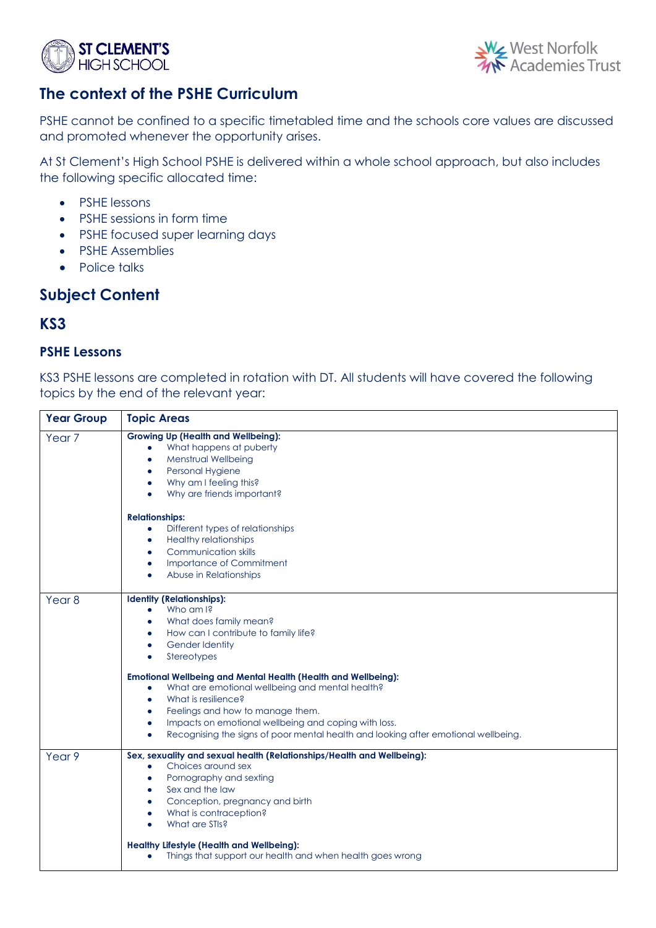



## **The context of the PSHE Curriculum**

PSHE cannot be confined to a specific timetabled time and the schools core values are discussed and promoted whenever the opportunity arises.

At St Clement's High School PSHE is delivered within a whole school approach, but also includes the following specific allocated time:

- PSHE lessons
- PSHE sessions in form time
- PSHE focused super learning days
- PSHE Assemblies
- Police talks

# **Subject Content**

### **KS3**

#### **PSHE Lessons**

KS3 PSHE lessons are completed in rotation with DT. All students will have covered the following topics by the end of the relevant year:

| <b>Year Group</b> | <b>Topic Areas</b>                                                                                                                                                                                                                                                                                                                                                                                                                                                                                                                                                                                     |
|-------------------|--------------------------------------------------------------------------------------------------------------------------------------------------------------------------------------------------------------------------------------------------------------------------------------------------------------------------------------------------------------------------------------------------------------------------------------------------------------------------------------------------------------------------------------------------------------------------------------------------------|
| Year <sub>7</sub> | <b>Growing Up (Health and Wellbeing):</b><br>What happens at puberty<br>٠<br>Menstrual Wellbeing<br>۰<br>Personal Hygiene<br>Why am I feeling this?<br>$\bullet$<br>Why are friends important?<br>$\bullet$                                                                                                                                                                                                                                                                                                                                                                                            |
|                   | <b>Relationships:</b><br>Different types of relationships<br>$\bullet$<br><b>Healthy relationships</b><br>$\bullet$<br><b>Communication skills</b><br>Importance of Commitment<br>$\bullet$<br>Abuse in Relationships                                                                                                                                                                                                                                                                                                                                                                                  |
| Year <sub>8</sub> | <b>Identity (Relationships):</b><br>Who am I?<br>$\bullet$<br>What does family mean?<br>$\bullet$<br>How can I contribute to family life?<br>$\bullet$<br><b>Gender Identity</b><br>٠<br>Stereotypes<br>٠<br><b>Emotional Wellbeing and Mental Health (Health and Wellbeing):</b><br>What are emotional wellbeing and mental health?<br>$\bullet$<br>What is resilience?<br>٠<br>Feelings and how to manage them.<br>$\bullet$<br>Impacts on emotional wellbeing and coping with loss.<br>$\bullet$<br>Recognising the signs of poor mental health and looking after emotional wellbeing.<br>$\bullet$ |
| Year 9            | Sex, sexuality and sexual health (Relationships/Health and Wellbeing):<br>Choices around sex<br>$\bullet$<br>Pornography and sexting<br>٠<br>Sex and the law<br>٠<br>Conception, pregnancy and birth<br>٠<br>What is contraception?<br>What are STIs?<br><b>Healthy Lifestyle (Health and Wellbeing):</b><br>Things that support our health and when health goes wrong<br>$\bullet$                                                                                                                                                                                                                    |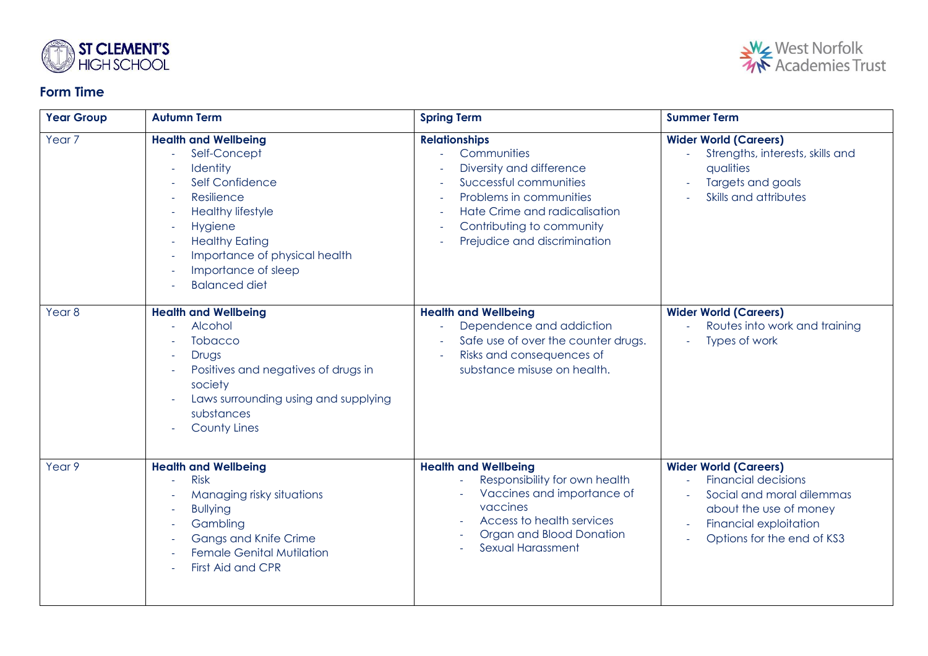

### **Form Time**



| <b>Year Group</b> | <b>Autumn Term</b>                                                                                                                                                                                                                       | <b>Spring Term</b>                                                                                                                                                                                                                     | <b>Summer Term</b>                                                                                                                                                                            |
|-------------------|------------------------------------------------------------------------------------------------------------------------------------------------------------------------------------------------------------------------------------------|----------------------------------------------------------------------------------------------------------------------------------------------------------------------------------------------------------------------------------------|-----------------------------------------------------------------------------------------------------------------------------------------------------------------------------------------------|
| Year <sub>7</sub> | <b>Health and Wellbeing</b><br>Self-Concept<br>Identity<br>Self Confidence<br>Resilience<br><b>Healthy lifestyle</b><br>Hygiene<br><b>Healthy Eating</b><br>Importance of physical health<br>Importance of sleep<br><b>Balanced diet</b> | <b>Relationships</b><br>Communities<br>$\omega_{\rm c}$<br>Diversity and difference<br>Successful communities<br>Problems in communities<br>Hate Crime and radicalisation<br>Contributing to community<br>Prejudice and discrimination | <b>Wider World (Careers)</b><br>Strengths, interests, skills and<br>qualities<br>Targets and goals<br>Skills and attributes                                                                   |
| Year <sub>8</sub> | <b>Health and Wellbeing</b><br>Alcohol<br><b>Tobacco</b><br>Drugs<br>Positives and negatives of drugs in<br>society<br>Laws surrounding using and supplying<br>substances<br><b>County Lines</b>                                         | <b>Health and Wellbeing</b><br>Dependence and addiction<br>Safe use of over the counter drugs.<br>Risks and consequences of<br>substance misuse on health.                                                                             | <b>Wider World (Careers)</b><br>Routes into work and training<br>L.<br>Types of work                                                                                                          |
| Year <sub>9</sub> | <b>Health and Wellbeing</b><br><b>Risk</b><br>Managing risky situations<br><b>Bullying</b><br>Gambling<br>Gangs and Knife Crime<br><b>Female Genital Mutilation</b><br>First Aid and CPR                                                 | <b>Health and Wellbeing</b><br>Responsibility for own health<br>Vaccines and importance of<br>vaccines<br>Access to health services<br>Organ and Blood Donation<br>Sexual Harassment                                                   | <b>Wider World (Careers)</b><br><b>Financial decisions</b><br>Social and moral dilemmas<br>about the use of money<br>Financial exploitation<br>$\sim$<br>Options for the end of KS3<br>$\sim$ |